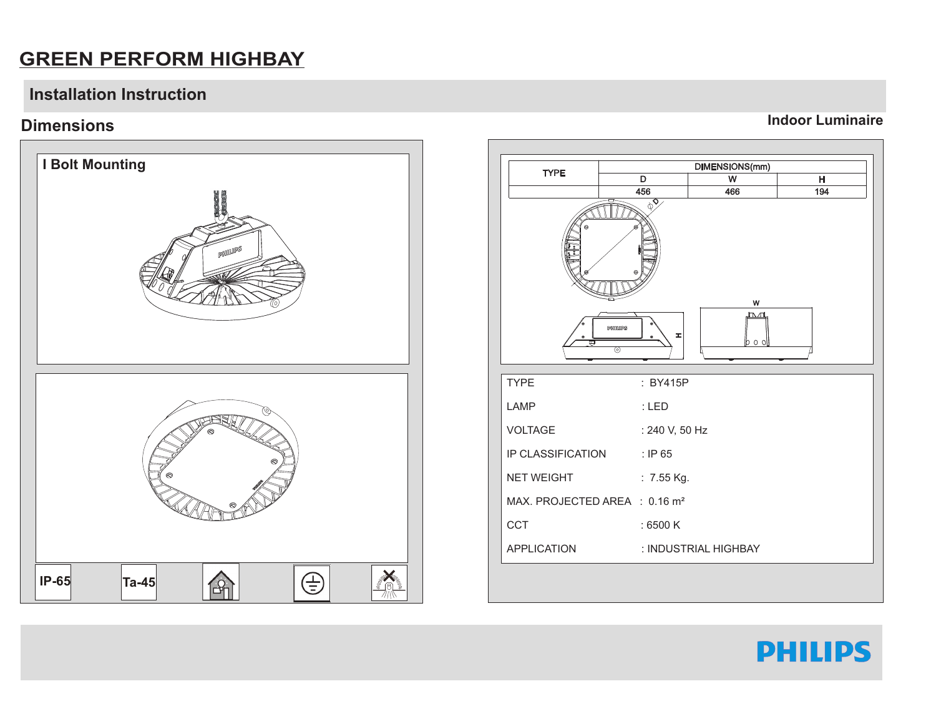### **GREEN PERFORM HIGHBAY**

#### **Installation Instruction**

#### **Dimensions**





**Indoor Luminaire**

## **PHILIPS**